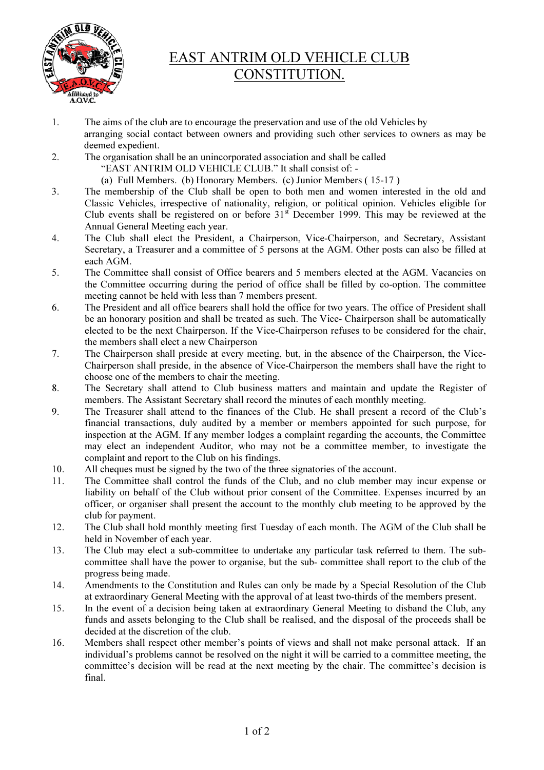

## EAST ANTRIM OLD VEHICLE CLUB CONSTITUTION.

- 1. The aims of the club are to encourage the preservation and use of the old Vehicles by arranging social contact between owners and providing such other services to owners as may be deemed expedient.
- 2. The organisation shall be an unincorporated association and shall be called
	- "EAST ANTRIM OLD VEHICLE CLUB." It shall consist of: -
	- (a) Full Members. (b) Honorary Members. (c) Junior Members ( 15-17 )
- 3. The membership of the Club shall be open to both men and women interested in the old and Classic Vehicles, irrespective of nationality, religion, or political opinion. Vehicles eligible for Club events shall be registered on or before 31st December 1999. This may be reviewed at the Annual General Meeting each year.
- 4. The Club shall elect the President, a Chairperson, Vice-Chairperson, and Secretary, Assistant Secretary, a Treasurer and a committee of 5 persons at the AGM. Other posts can also be filled at each AGM.
- 5. The Committee shall consist of Office bearers and 5 members elected at the AGM. Vacancies on the Committee occurring during the period of office shall be filled by co-option. The committee meeting cannot be held with less than 7 members present.
- 6. The President and all office bearers shall hold the office for two years. The office of President shall be an honorary position and shall be treated as such. The Vice- Chairperson shall be automatically elected to be the next Chairperson. If the Vice-Chairperson refuses to be considered for the chair, the members shall elect a new Chairperson
- 7. The Chairperson shall preside at every meeting, but, in the absence of the Chairperson, the Vice-Chairperson shall preside, in the absence of Vice-Chairperson the members shall have the right to choose one of the members to chair the meeting.
- 8. The Secretary shall attend to Club business matters and maintain and update the Register of members. The Assistant Secretary shall record the minutes of each monthly meeting.
- 9. The Treasurer shall attend to the finances of the Club. He shall present a record of the Club's financial transactions, duly audited by a member or members appointed for such purpose, for inspection at the AGM. If any member lodges a complaint regarding the accounts, the Committee may elect an independent Auditor, who may not be a committee member, to investigate the complaint and report to the Club on his findings.
- 10. All cheques must be signed by the two of the three signatories of the account.
- 11. The Committee shall control the funds of the Club, and no club member may incur expense or liability on behalf of the Club without prior consent of the Committee. Expenses incurred by an officer, or organiser shall present the account to the monthly club meeting to be approved by the club for payment.
- 12. The Club shall hold monthly meeting first Tuesday of each month. The AGM of the Club shall be held in November of each year.
- 13. The Club may elect a sub-committee to undertake any particular task referred to them. The subcommittee shall have the power to organise, but the sub- committee shall report to the club of the progress being made.
- 14. Amendments to the Constitution and Rules can only be made by a Special Resolution of the Club at extraordinary General Meeting with the approval of at least two-thirds of the members present.
- 15. In the event of a decision being taken at extraordinary General Meeting to disband the Club, any funds and assets belonging to the Club shall be realised, and the disposal of the proceeds shall be decided at the discretion of the club.
- 16. Members shall respect other member's points of views and shall not make personal attack. If an individual's problems cannot be resolved on the night it will be carried to a committee meeting, the committee's decision will be read at the next meeting by the chair. The committee's decision is final.